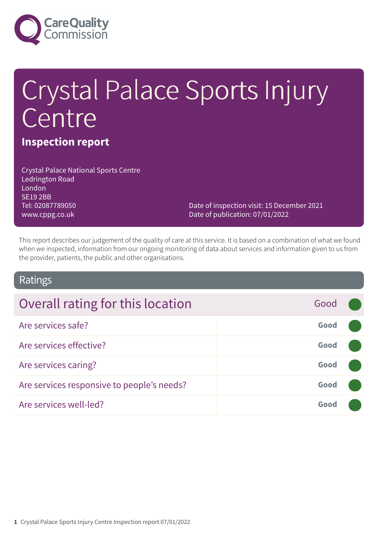

# Crystal Palace Sports Injury **Centre**

### **Inspection report**

Crystal Palace National Sports Centre Ledrington Road London SE19 2BB Tel: 02087789050 www.cppg.co.uk

Date of inspection visit: 15 December 2021 Date of publication: 07/01/2022

This report describes our judgement of the quality of care at this service. It is based on a combination of what we found when we inspected, information from our ongoing monitoring of data about services and information given to us from the provider, patients, the public and other organisations.

### Ratings

| Overall rating for this location           | Good |  |
|--------------------------------------------|------|--|
| Are services safe?                         | Good |  |
| Are services effective?                    | Good |  |
| Are services caring?                       | Good |  |
| Are services responsive to people's needs? | Good |  |
| Are services well-led?                     | Good |  |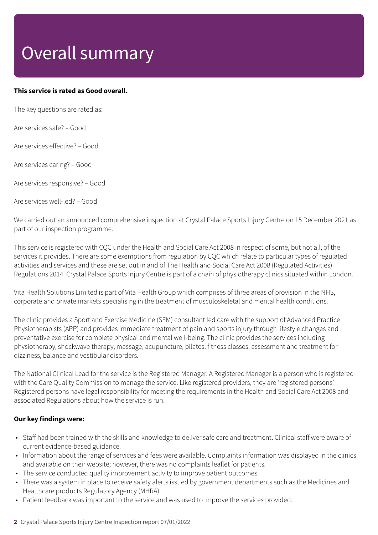# Overall summary

#### **This service is rated as Good overall.**

The key questions are rated as:

Are services safe? – Good

Are services effective? – Good

Are services caring? – Good

Are services responsive? – Good

Are services well-led? – Good

We carried out an announced comprehensive inspection at Crystal Palace Sports Injury Centre on 15 December 2021 as part of our inspection programme.

This service is registered with CQC under the Health and Social Care Act 2008 in respect of some, but not all, of the services it provides. There are some exemptions from regulation by COC which relate to particular types of regulated activities and services and these are set out in and of The Health and Social Care Act 2008 (Regulated Activities) Regulations 2014. Crystal Palace Sports Injury Centre is part of a chain of physiotherapy clinics situated within London.

Vita Health Solutions Limited is part of Vita Health Group which comprises of three areas of provision in the NHS, corporate and private markets specialising in the treatment of musculoskeletal and mental health conditions.

The clinic provides a Sport and Exercise Medicine (SEM) consultant led care with the support of Advanced Practice Physiotherapists (APP) and provides immediate treatment of pain and sports injury through lifestyle changes and preventative exercise for complete physical and mental well-being. The clinic provides the services including physiotherapy, shockwave therapy, massage, acupuncture, pilates, fitness classes, assessment and treatment for dizziness, balance and vestibular disorders.

The National Clinical Lead for the service is the Registered Manager. A Registered Manager is a person who is registered with the Care Quality Commission to manage the service. Like registered providers, they are 'registered persons'. Registered persons have legal responsibility for meeting the requirements in the Health and Social Care Act 2008 and associated Regulations about how the service is run.

#### **Our key findings were:**

- Staff had been trained with the skills and knowledge to deliver safe care and treatment. Clinical staff were aware of current evidence-based guidance.
- Information about the range of services and fees were available. Complaints information was displayed in the clinics and available on their website; however, there was no complaints leaflet for patients.
- The service conducted quality improvement activity to improve patient outcomes.
- There was a system in place to receive safety alerts issued by government departments such as the Medicines and Healthcare products Regulatory Agency (MHRA).
- Patient feedback was important to the service and was used to improve the services provided.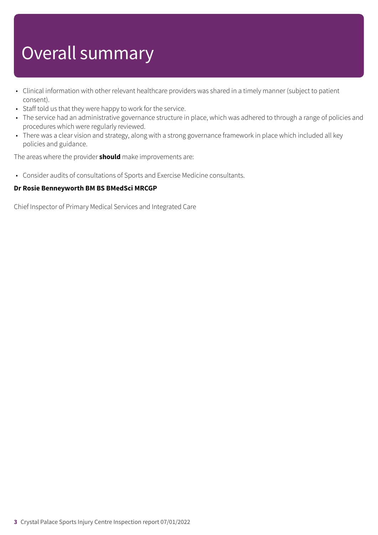# Overall summary

- Clinical information with other relevant healthcare providers was shared in a timely manner (subject to patient consent).
- Staff told us that they were happy to work for the service.
- The service had an administrative governance structure in place, which was adhered to through a range of policies and procedures which were regularly reviewed.
- There was a clear vision and strategy, along with a strong governance framework in place which included all key policies and guidance.

The areas where the provider **should** make improvements are:

• Consider audits of consultations of Sports and Exercise Medicine consultants.

#### **Dr Rosie Benneyworth BM BS BMedSci MRCGP**

Chief Inspector of Primary Medical Services and Integrated Care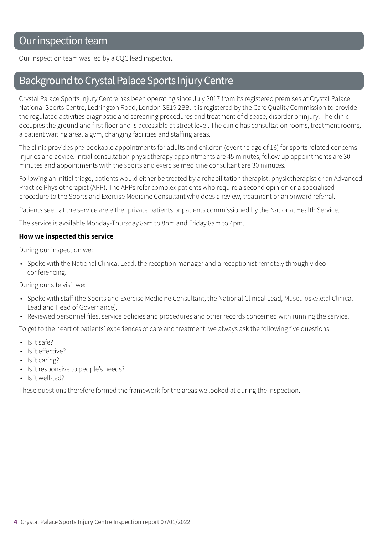Our inspection team was led by a CQC lead inspector**.**

### Background to Crystal Palace Sports Injury Centre

Crystal Palace Sports Injury Centre has been operating since July 2017 from its registered premises at Crystal Palace National Sports Centre, Ledrington Road, London SE19 2BB. It is registered by the Care Quality Commission to provide the regulated activities diagnostic and screening procedures and treatment of disease, disorder or injury. The clinic occupies the ground and first floor and is accessible at street level. The clinic has consultation rooms, treatment rooms, a patient waiting area, a gym, changing facilities and staffing areas.

The clinic provides pre-bookable appointments for adults and children (over the age of 16) for sports related concerns, injuries and advice. Initial consultation physiotherapy appointments are 45 minutes, follow up appointments are 30 minutes and appointments with the sports and exercise medicine consultant are 30 minutes.

Following an initial triage, patients would either be treated by a rehabilitation therapist, physiotherapist or an Advanced Practice Physiotherapist (APP). The APPs refer complex patients who require a second opinion or a specialised procedure to the Sports and Exercise Medicine Consultant who does a review, treatment or an onward referral.

Patients seen at the service are either private patients or patients commissioned by the National Health Service.

The service is available Monday-Thursday 8am to 8pm and Friday 8am to 4pm.

#### **How we inspected this service**

During our inspection we:

• Spoke with the National Clinical Lead, the reception manager and a receptionist remotely through video conferencing.

During our site visit we:

- Spoke with staff (the Sports and Exercise Medicine Consultant, the National Clinical Lead, Musculoskeletal Clinical Lead and Head of Governance).
- Reviewed personnel files, service policies and procedures and other records concerned with running the service.

To get to the heart of patients' experiences of care and treatment, we always ask the following five questions:

- Is it safe?
- Is it effective?
- Is it caring?
- Is it responsive to people's needs?
- Is it well-led?

These questions therefore formed the framework for the areas we looked at during the inspection.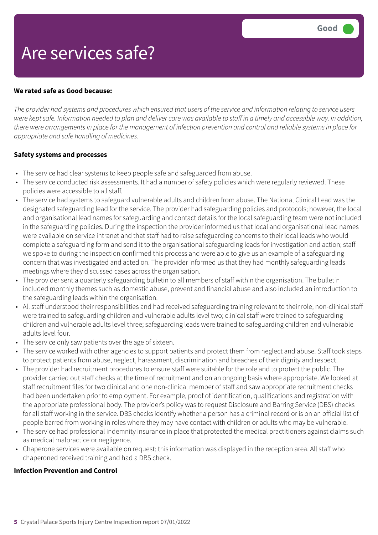#### **We rated safe as Good because:**

The provider had systems and procedures which ensured that users of the service and information relating to service users were kept safe. Information needed to plan and deliver care was available to staff in a timely and accessible way. In addition, there were arrangements in place for the management of infection prevention and control and reliable systems in place for *appropriate and safe handling of medicines.*

#### **Safety systems and processes**

- The service had clear systems to keep people safe and safeguarded from abuse.
- The service conducted risk assessments. It had a number of safety policies which were regularly reviewed. These policies were accessible to all staff.
- The service had systems to safeguard vulnerable adults and children from abuse. The National Clinical Lead was the designated safeguarding lead for the service. The provider had safeguarding policies and protocols; however, the local and organisational lead names for safeguarding and contact details for the local safeguarding team were not included in the safeguarding policies. During the inspection the provider informed us that local and organisational lead names were available on service intranet and that staff had to raise safeguarding concerns to their local leads who would complete a safeguarding form and send it to the organisational safeguarding leads for investigation and action; staff we spoke to during the inspection confirmed this process and were able to give us an example of a safeguarding concern that was investigated and acted on. The provider informed us that they had monthly safeguarding leads meetings where they discussed cases across the organisation.
- The provider sent a quarterly safeguarding bulletin to all members of staff within the organisation. The bulletin included monthly themes such as domestic abuse, prevent and financial abuse and also included an introduction to the safeguarding leads within the organisation.
- All staff understood their responsibilities and had received safeguarding training relevant to their role; non-clinical staff were trained to safeguarding children and vulnerable adults level two; clinical staff were trained to safeguarding children and vulnerable adults level three; safeguarding leads were trained to safeguarding children and vulnerable adults level four.
- The service only saw patients over the age of sixteen.
- The service worked with other agencies to support patients and protect them from neglect and abuse. Staff took steps to protect patients from abuse, neglect, harassment, discrimination and breaches of their dignity and respect.
- The provider had recruitment procedures to ensure staff were suitable for the role and to protect the public. The provider carried out staff checks at the time of recruitment and on an ongoing basis where appropriate. We looked at staff recruitment files for two clinical and one non-clinical member of staff and saw appropriate recruitment checks had been undertaken prior to employment. For example, proof of identification, qualifications and registration with the appropriate professional body. The provider's policy was to request Disclosure and Barring Service (DBS) checks for all staff working in the service. DBS checks identify whether a person has a criminal record or is on an official list of people barred from working in roles where they may have contact with children or adults who may be vulnerable.
- The service had professional indemnity insurance in place that protected the medical practitioners against claims such as medical malpractice or negligence.
- Chaperone services were available on request; this information was displayed in the reception area. All staff who chaperoned received training and had a DBS check.

#### **Infection Prevention and Control**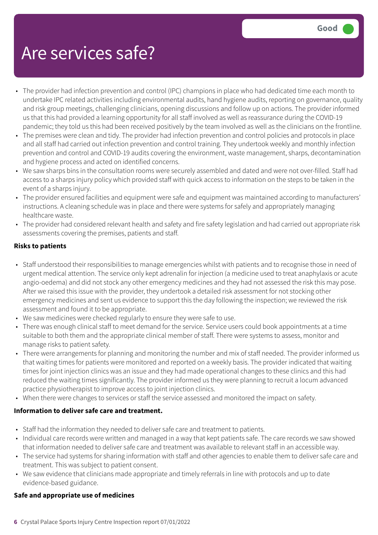- The provider had infection prevention and control (IPC) champions in place who had dedicated time each month to undertake IPC related activities including environmental audits, hand hygiene audits, reporting on governance, quality and risk group meetings, challenging clinicians, opening discussions and follow up on actions. The provider informed us that this had provided a learning opportunity for all staff involved as well as reassurance during the COVID-19 pandemic; they told us this had been received positively by the team involved as well as the clinicians on the frontline.
- The premises were clean and tidy. The provider had infection prevention and control policies and protocols in place and all staff had carried out infection prevention and control training. They undertook weekly and monthly infection prevention and control and COVID-19 audits covering the environment, waste management, sharps, decontamination and hygiene process and acted on identified concerns.
- We saw sharps bins in the consultation rooms were securely assembled and dated and were not over-filled. Staff had access to a sharps injury policy which provided staff with quick access to information on the steps to be taken in the event of a sharps injury.
- The provider ensured facilities and equipment were safe and equipment was maintained according to manufacturers' instructions. A cleaning schedule was in place and there were systems for safely and appropriately managing healthcare waste.
- The provider had considered relevant health and safety and fire safety legislation and had carried out appropriate risk assessments covering the premises, patients and staff.

#### **Risks to patients**

- Staff understood their responsibilities to manage emergencies whilst with patients and to recognise those in need of urgent medical attention. The service only kept adrenalin for injection (a medicine used to treat anaphylaxis or acute angio-oedema) and did not stock any other emergency medicines and they had not assessed the risk this may pose. After we raised this issue with the provider, they undertook a detailed risk assessment for not stocking other emergency medicines and sent us evidence to support this the day following the inspection; we reviewed the risk assessment and found it to be appropriate.
- We saw medicines were checked regularly to ensure they were safe to use.
- There was enough clinical staff to meet demand for the service. Service users could book appointments at a time suitable to both them and the appropriate clinical member of staff. There were systems to assess, monitor and manage risks to patient safety.
- There were arrangements for planning and monitoring the number and mix of staff needed. The provider informed us that waiting times for patients were monitored and reported on a weekly basis. The provider indicated that waiting times for joint injection clinics was an issue and they had made operational changes to these clinics and this had reduced the waiting times significantly. The provider informed us they were planning to recruit a locum advanced practice physiotherapist to improve access to joint injection clinics.
- When there were changes to services or staff the service assessed and monitored the impact on safety.

#### **Information to deliver safe care and treatment.**

- Staff had the information they needed to deliver safe care and treatment to patients.
- Individual care records were written and managed in a way that kept patients safe. The care records we saw showed that information needed to deliver safe care and treatment was available to relevant staff in an accessible way.
- The service had systems for sharing information with staff and other agencies to enable them to deliver safe care and treatment. This was subject to patient consent.
- We saw evidence that clinicians made appropriate and timely referrals in line with protocols and up to date evidence-based guidance.

#### **Safe and appropriate use of medicines**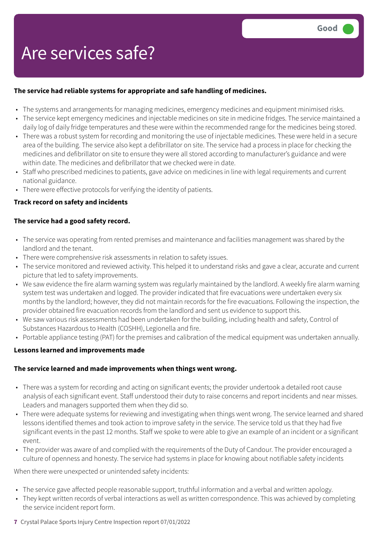#### **The service had reliable systems for appropriate and safe handling of medicines.**

- The systems and arrangements for managing medicines, emergency medicines and equipment minimised risks.
- The service kept emergency medicines and injectable medicines on site in medicine fridges. The service maintained a daily log of daily fridge temperatures and these were within the recommended range for the medicines being stored.
- There was a robust system for recording and monitoring the use of injectable medicines. These were held in a secure area of the building. The service also kept a defibrillator on site. The service had a process in place for checking the medicines and defibrillator on site to ensure they were all stored according to manufacturer's guidance and were within date. The medicines and defibrillator that we checked were in date.
- Staff who prescribed medicines to patients, gave advice on medicines in line with legal requirements and current national guidance.
- There were effective protocols for verifying the identity of patients.

#### **Track record on safety and incidents**

#### **The service had a good safety record.**

- The service was operating from rented premises and maintenance and facilities management was shared by the landlord and the tenant.
- There were comprehensive risk assessments in relation to safety issues.
- The service monitored and reviewed activity. This helped it to understand risks and gave a clear, accurate and current picture that led to safety improvements.
- We saw evidence the fire alarm warning system was regularly maintained by the landlord. A weekly fire alarm warning system test was undertaken and logged. The provider indicated that fire evacuations were undertaken every six months by the landlord; however, they did not maintain records for the fire evacuations. Following the inspection, the provider obtained fire evacuation records from the landlord and sent us evidence to support this.
- We saw various risk assessments had been undertaken for the building, including health and safety, Control of Substances Hazardous to Health (COSHH), Legionella and fire.
- Portable appliance testing (PAT) for the premises and calibration of the medical equipment was undertaken annually.

#### **Lessons learned and improvements made**

#### **The service learned and made improvements when things went wrong.**

- There was a system for recording and acting on significant events; the provider undertook a detailed root cause analysis of each significant event. Staff understood their duty to raise concerns and report incidents and near misses. Leaders and managers supported them when they did so.
- There were adequate systems for reviewing and investigating when things went wrong. The service learned and shared lessons identified themes and took action to improve safety in the service. The service told us that they had five significant events in the past 12 months. Staff we spoke to were able to give an example of an incident or a significant event.
- The provider was aware of and complied with the requirements of the Duty of Candour. The provider encouraged a culture of openness and honesty. The service had systems in place for knowing about notifiable safety incidents

When there were unexpected or unintended safety incidents:

- The service gave affected people reasonable support, truthful information and a verbal and written apology.
- They kept written records of verbal interactions as well as written correspondence. This was achieved by completing the service incident report form.
- **7** Crystal Palace Sports Injury Centre Inspection report 07/01/2022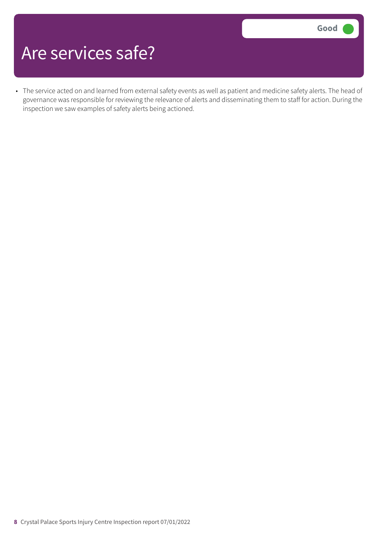• The service acted on and learned from external safety events as well as patient and medicine safety alerts. The head of governance was responsible for reviewing the relevance of alerts and disseminating them to staff for action. During the inspection we saw examples of safety alerts being actioned.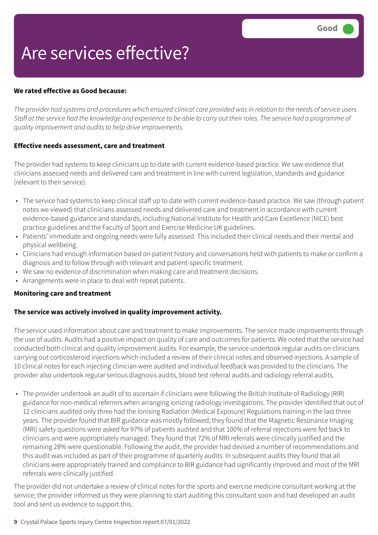### Are services effective?

#### **We rated effective as Good because:**

The provider had systems and procedures which ensured clinical care provided was in relation to the needs of service users. Staff at the service had the knowledge and experience to be able to carry out their roles. The service had a programme of *quality improvement and auditsto help drive improvements.*

#### **Effective needs assessment, care and treatment**

The provider had systems to keep clinicians up to date with current evidence-based practice. We saw evidence that clinicians assessed needs and delivered care and treatment in line with current legislation, standards and guidance (relevant to their service).

- The service had systems to keep clinical staff up to date with current evidence-based practice. We saw (through patient notes we viewed) that clinicians assessed needs and delivered care and treatment in accordance with current evidence-based guidance and standards, including National Institute for Health and Care Excellence (NICE) best practice guidelines and the Faculty of Sport and Exercise Medicine UK guidelines.
- Patients' immediate and ongoing needs were fully assessed. This included their clinical needs and their mental and physical wellbeing.
- Clinicians had enough information based on patient history and conversations held with patients to make or confirm a diagnosis and to follow through with relevant and patient-specific treatment.
- We saw no evidence of discrimination when making care and treatment decisions.
- Arrangements were in place to deal with repeat patients.

#### **Monitoring care and treatment**

#### **The service was actively involved in quality improvement activity.**

The service used information about care and treatment to make improvements. The service made improvements through the use of audits. Audits had a positive impact on quality of care and outcomes for patients. We noted that the service had conducted both clinical and quality improvement audits. For example, the service undertook regular audits on clinicians carrying out corticosteroid injections which included a review of their clinical notes and observed injections. A sample of 10 clinical notes for each injecting clinician were audited and individual feedback was provided to the clinicians. The provider also undertook regular serious diagnosis audits, blood test referral audits and radiology referral audits.

• The provider undertook an audit of to ascertain if clinicians were following the British Institute of Radiology (RIR) guidance for non-medical referrers when arranging ionizing radiology investigations. The provider identified that out of 12 clinicians audited only three had the Ionising Radiation (Medical Exposure) Regulations training in the last three years. The provider found that BIR guidance was mostly followed; they found that the Magnetic Resonance Imaging (MRI) safety questions were asked for 97% of patients audited and that 100% of referral rejections were fed back to clinicians and were appropriately managed. They found that 72% of MRI referrals were clinically justified and the remaining 28% were questionable. Following the audit, the provider had devised a number of recommendations and this audit was included as part of their programme of quarterly audits. In subsequent audits they found that all clinicians were appropriately trained and compliance to BIR guidance had significantly improved and most of the MRI referrals were clinically justified.

The provider did not undertake a review of clinical notes for the sports and exercise medicine consultant working at the service; the provider informed us they were planning to start auditing this consultant soon and had developed an audit tool and sent us evidence to support this.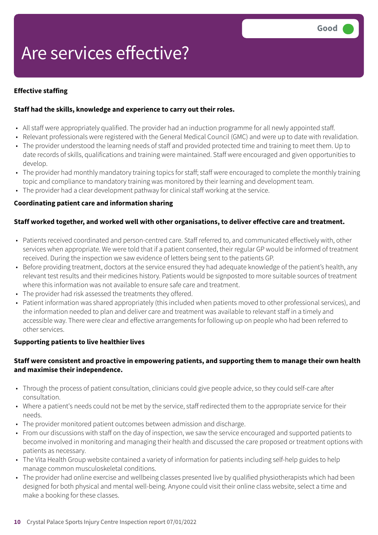# Are services effective?

#### **Effective staffing**

#### **Staff had the skills, knowledge and experience to carry out their roles.**

- All staff were appropriately qualified. The provider had an induction programme for all newly appointed staff.
- Relevant professionals were registered with the General Medical Council (GMC) and were up to date with revalidation.
- The provider understood the learning needs of staff and provided protected time and training to meet them. Up to date records of skills, qualifications and training were maintained. Staff were encouraged and given opportunities to develop.
- The provider had monthly mandatory training topics for staff; staff were encouraged to complete the monthly training topic and compliance to mandatory training was monitored by their learning and development team.
- The provider had a clear development pathway for clinical staff working at the service.

#### **Coordinating patient care and information sharing**

#### **Staff worked together, and worked well with other organisations, to deliver effective care and treatment.**

- Patients received coordinated and person-centred care. Staff referred to, and communicated effectively with, other services when appropriate. We were told that if a patient consented, their regular GP would be informed of treatment received. During the inspection we saw evidence of letters being sent to the patients GP.
- Before providing treatment, doctors at the service ensured they had adequate knowledge of the patient's health, any relevant test results and their medicines history. Patients would be signposted to more suitable sources of treatment where this information was not available to ensure safe care and treatment.
- The provider had risk assessed the treatments they offered.
- Patient information was shared appropriately (this included when patients moved to other professional services), and the information needed to plan and deliver care and treatment was available to relevant staff in a timely and accessible way. There were clear and effective arrangements for following up on people who had been referred to other services.

#### **Supporting patients to live healthier lives**

#### **Staff were consistent and proactive in empowering patients, and supporting them to manage their own health and maximise their independence.**

- Through the process of patient consultation, clinicians could give people advice, so they could self-care after consultation.
- Where a patient's needs could not be met by the service, staff redirected them to the appropriate service for their needs.
- The provider monitored patient outcomes between admission and discharge.
- From our discussions with staff on the day of inspection, we saw the service encouraged and supported patients to become involved in monitoring and managing their health and discussed the care proposed or treatment options with patients as necessary.
- The Vita Health Group website contained a variety of information for patients including self-help guides to help manage common musculoskeletal conditions.
- The provider had online exercise and wellbeing classes presented live by qualified physiotherapists which had been designed for both physical and mental well-being. Anyone could visit their online class website, select a time and make a booking for these classes.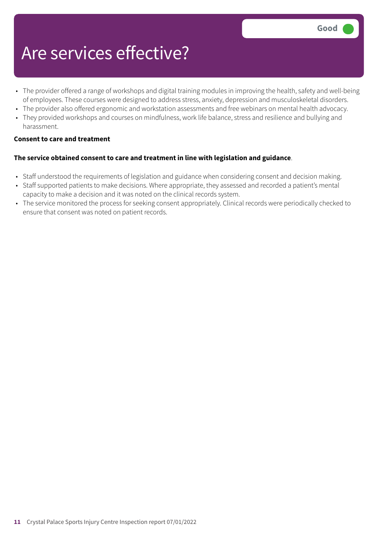### Are services effective?

- The provider offered a range of workshops and digital training modules in improving the health, safety and well-being of employees. These courses were designed to address stress, anxiety, depression and musculoskeletal disorders.
- The provider also offered ergonomic and workstation assessments and free webinars on mental health advocacy.
- They provided workshops and courses on mindfulness, work life balance, stress and resilience and bullying and harassment.

#### **Consent to care and treatment**

#### **The service obtained consent to care and treatment in line with legislation and guidance**.

- Staff understood the requirements of legislation and guidance when considering consent and decision making.
- Staff supported patients to make decisions. Where appropriate, they assessed and recorded a patient's mental capacity to make a decision and it was noted on the clinical records system.
- The service monitored the process for seeking consent appropriately. Clinical records were periodically checked to ensure that consent was noted on patient records.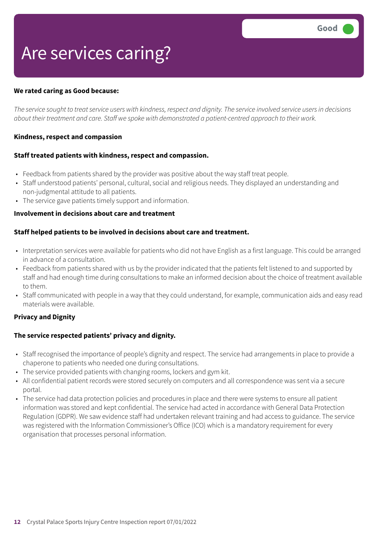### Are services caring?

#### **We rated caring as Good because:**

The service sought to treat service users with kindness, respect and dignity. The service involved service users in decisions *about their treatment and care. Staff we spoke with demonstrated a patient-centred approach to their work.*

#### **Kindness, respect and compassion**

#### **Staff treated patients with kindness, respect and compassion.**

- Feedback from patients shared by the provider was positive about the way staff treat people.
- Staff understood patients' personal, cultural, social and religious needs. They displayed an understanding and non-judgmental attitude to all patients.
- The service gave patients timely support and information.

#### **Involvement in decisions about care and treatment**

#### **Staff helped patients to be involved in decisions about care and treatment.**

- Interpretation services were available for patients who did not have English as a first language. This could be arranged in advance of a consultation.
- Feedback from patients shared with us by the provider indicated that the patients felt listened to and supported by staff and had enough time during consultations to make an informed decision about the choice of treatment available to them.
- Staff communicated with people in a way that they could understand, for example, communication aids and easy read materials were available.

#### **Privacy and Dignity**

#### **The service respected patients' privacy and dignity.**

- Staff recognised the importance of people's dignity and respect. The service had arrangements in place to provide a chaperone to patients who needed one during consultations.
- The service provided patients with changing rooms, lockers and gym kit.
- All confidential patient records were stored securely on computers and all correspondence was sent via a secure portal.
- The service had data protection policies and procedures in place and there were systems to ensure all patient information was stored and kept confidential. The service had acted in accordance with General Data Protection Regulation (GDPR). We saw evidence staff had undertaken relevant training and had access to guidance. The service was registered with the Information Commissioner's Office (ICO) which is a mandatory requirement for every organisation that processes personal information.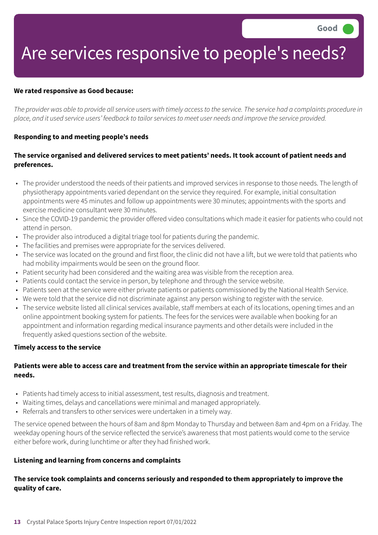### Are services responsive to people's needs?

#### **We rated responsive as Good because:**

The provider was able to provide all service users with timely access to the service. The service had a complaints procedure in place, and it used service users' feedback to tailor services to meet user needs and improve the service provided.

#### **Responding to and meeting people's needs**

#### The service organised and delivered services to meet patients' needs. It took account of patient needs and **preferences.**

- The provider understood the needs of their patients and improved services in response to those needs. The length of physiotherapy appointments varied dependant on the service they required. For example, initial consultation appointments were 45 minutes and follow up appointments were 30 minutes; appointments with the sports and exercise medicine consultant were 30 minutes.
- Since the COVID-19 pandemic the provider offered video consultations which made it easier for patients who could not attend in person.
- The provider also introduced a digital triage tool for patients during the pandemic.
- The facilities and premises were appropriate for the services delivered.
- The service was located on the ground and first floor, the clinic did not have a lift, but we were told that patients who had mobility impairments would be seen on the ground floor.
- Patient security had been considered and the waiting area was visible from the reception area.
- Patients could contact the service in person, by telephone and through the service website.
- Patients seen at the service were either private patients or patients commissioned by the National Health Service.
- We were told that the service did not discriminate against any person wishing to register with the service.
- The service website listed all clinical services available, staff members at each of its locations, opening times and an online appointment booking system for patients. The fees for the services were available when booking for an appointment and information regarding medical insurance payments and other details were included in the frequently asked questions section of the website.

#### **Timely access to the service**

#### Patients were able to access care and treatment from the service within an appropriate timescale for their **needs.**

- Patients had timely access to initial assessment, test results, diagnosis and treatment.
- Waiting times, delays and cancellations were minimal and managed appropriately.
- Referrals and transfers to other services were undertaken in a timely way.

The service opened between the hours of 8am and 8pm Monday to Thursday and between 8am and 4pm on a Friday. The weekday opening hours of the service reflected the service's awareness that most patients would come to the service either before work, during lunchtime or after they had finished work.

#### **Listening and learning from concerns and complaints**

#### **The service took complaints and concerns seriously and responded to them appropriately to improve the quality of care.**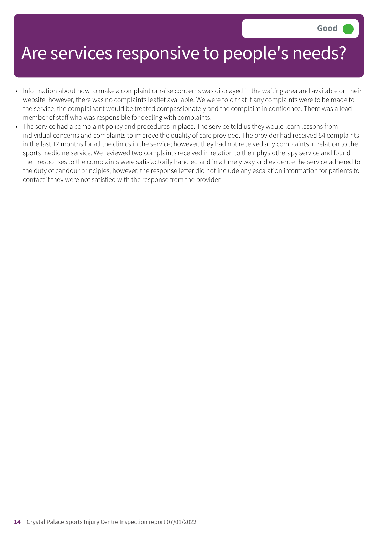### Are services responsive to people's needs?

- Information about how to make a complaint or raise concerns was displayed in the waiting area and available on their website; however, there was no complaints leaflet available. We were told that if any complaints were to be made to the service, the complainant would be treated compassionately and the complaint in confidence. There was a lead member of staff who was responsible for dealing with complaints.
- The service had a complaint policy and procedures in place. The service told us they would learn lessons from individual concerns and complaints to improve the quality of care provided. The provider had received 54 complaints in the last 12 months for all the clinics in the service; however, they had not received any complaints in relation to the sports medicine service. We reviewed two complaints received in relation to their physiotherapy service and found their responses to the complaints were satisfactorily handled and in a timely way and evidence the service adhered to the duty of candour principles; however, the response letter did not include any escalation information for patients to contact if they were not satisfied with the response from the provider.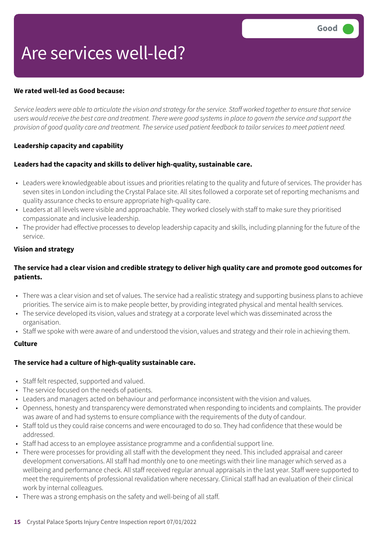#### **We rated well-led as Good because:**

Service leaders were able to articulate the vision and strategy for the service. Staff worked together to ensure that service users would receive the best care and treatment. There were good systems in place to govern the service and support the provision of good quality care and treatment. The service used patient feedback to tailor services to meet patient need.

#### **Leadership capacity and capability**

#### **Leaders had the capacity and skills to deliver high-quality, sustainable care.**

- Leaders were knowledgeable about issues and priorities relating to the quality and future of services. The provider has seven sites in London including the Crystal Palace site. All sites followed a corporate set of reporting mechanisms and quality assurance checks to ensure appropriate high-quality care.
- Leaders at all levels were visible and approachable. They worked closely with staff to make sure they prioritised compassionate and inclusive leadership.
- The provider had effective processes to develop leadership capacity and skills, including planning for the future of the service.

#### **Vision and strategy**

#### The service had a clear vision and credible strategy to deliver high quality care and promote good outcomes for **patients.**

- There was a clear vision and set of values. The service had a realistic strategy and supporting business plans to achieve priorities. The service aim is to make people better, by providing integrated physical and mental health services.
- The service developed its vision, values and strategy at a corporate level which was disseminated across the organisation.
- Staff we spoke with were aware of and understood the vision, values and strategy and their role in achieving them.

#### **Culture**

#### **The service had a culture of high-quality sustainable care.**

- Staff felt respected, supported and valued.
- The service focused on the needs of patients.
- Leaders and managers acted on behaviour and performance inconsistent with the vision and values.
- Openness, honesty and transparency were demonstrated when responding to incidents and complaints. The provider was aware of and had systems to ensure compliance with the requirements of the duty of candour.
- Staff told us they could raise concerns and were encouraged to do so. They had confidence that these would be addressed.
- Staff had access to an employee assistance programme and a confidential support line.
- There were processes for providing all staff with the development they need. This included appraisal and career development conversations. All staff had monthly one to one meetings with their line manager which served as a wellbeing and performance check. All staff received regular annual appraisals in the last year. Staff were supported to meet the requirements of professional revalidation where necessary. Clinical staff had an evaluation of their clinical work by internal colleagues.
- There was a strong emphasis on the safety and well-being of all staff.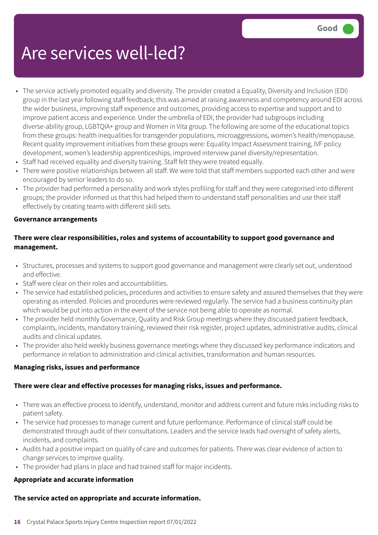- The service actively promoted equality and diversity. The provider created a Equality, Diversity and Inclusion (EDI) group in the last year following staff feedback; this was aimed at raising awareness and competency around EDI across the wider business, improving staff experience and outcomes, providing access to expertise and support and to improve patient access and experience. Under the umbrella of EDI, the provider had subgroups including diverse-ability group, LGBTQIA+ group and Women in Vita group. The following are some of the educational topics from these groups: health inequalities for transgender populations, microaggressions, women's health/menopause. Recent quality improvement initiatives from these groups were: Equality Impact Assessment training, IVF policy development, women's leadership apprenticeships, improved interview panel diversity/representation.
- Staff had received equality and diversity training. Staff felt they were treated equally.
- There were positive relationships between all staff. We were told that staff members supported each other and were encouraged by senior leaders to do so.
- The provider had performed a personality and work styles profiling for staff and they were categorised into different groups; the provider informed us that this had helped them to understand staff personalities and use their staff effectively by creating teams with different skill sets.

#### **Governance arrangements**

#### **There were clear responsibilities, roles and systems of accountability to support good governance and management.**

- Structures, processes and systems to support good governance and management were clearly set out, understood and effective.
- Staff were clear on their roles and accountabilities.
- The service had established policies, procedures and activities to ensure safety and assured themselves that they were operating as intended. Policies and procedures were reviewed regularly. The service had a business continuity plan which would be put into action in the event of the service not being able to operate as normal.
- The provider held monthly Governance, Quality and Risk Group meetings where they discussed patient feedback, complaints, incidents, mandatory training, reviewed their risk register, project updates, administrative audits, clinical audits and clinical updates.
- The provider also held weekly business governance meetings where they discussed key performance indicators and performance in relation to administration and clinical activities, transformation and human resources.

#### **Managing risks, issues and performance**

#### **There were clear and effective processes for managing risks, issues and performance.**

- There was an effective process to identify, understand, monitor and address current and future risks including risks to patient safety.
- The service had processes to manage current and future performance. Performance of clinical staff could be demonstrated through audit of their consultations. Leaders and the service leads had oversight of safety alerts, incidents, and complaints.
- Audits had a positive impact on quality of care and outcomes for patients. There was clear evidence of action to change services to improve quality.
- The provider had plans in place and had trained staff for major incidents.

#### **Appropriate and accurate information**

#### **The service acted on appropriate and accurate information.**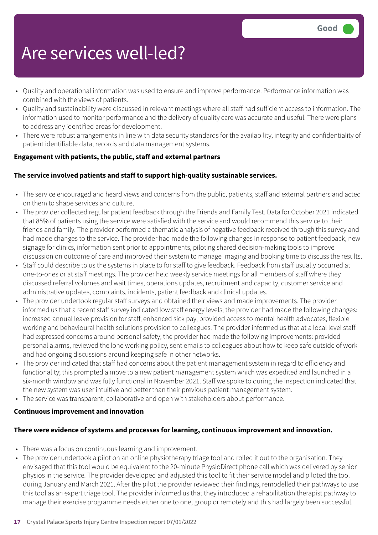- Quality and operational information was used to ensure and improve performance. Performance information was combined with the views of patients.
- Quality and sustainability were discussed in relevant meetings where all staff had sufficient access to information. The information used to monitor performance and the delivery of quality care was accurate and useful. There were plans to address any identified areas for development.
- There were robust arrangements in line with data security standards for the availability, integrity and confidentiality of patient identifiable data, records and data management systems.

#### **Engagement with patients, the public, staff and external partners**

#### **The service involved patients and staff to support high-quality sustainable services.**

- The service encouraged and heard views and concerns from the public, patients, staff and external partners and acted on them to shape services and culture.
- The provider collected regular patient feedback through the Friends and Family Test. Data for October 2021 indicated that 85% of patients using the service were satisfied with the service and would recommend this service to their friends and family. The provider performed a thematic analysis of negative feedback received through this survey and had made changes to the service. The provider had made the following changes in response to patient feedback, new signage for clinics, information sent prior to appointments, piloting shared decision-making tools to improve discussion on outcome of care and improved their system to manage imaging and booking time to discuss the results.
- Staff could describe to us the systems in place to for staff to give feedback. Feedback from staff usually occurred at one-to-ones or at staff meetings. The provider held weekly service meetings for all members of staff where they discussed referral volumes and wait times, operations updates, recruitment and capacity, customer service and administrative updates, complaints, incidents, patient feedback and clinical updates.
- The provider undertook regular staff surveys and obtained their views and made improvements. The provider informed us that a recent staff survey indicated low staff energy levels; the provider had made the following changes: increased annual leave provision for staff, enhanced sick pay, provided access to mental health advocates, flexible working and behavioural health solutions provision to colleagues. The provider informed us that at a local level staff had expressed concerns around personal safety; the provider had made the following improvements: provided personal alarms, reviewed the lone working policy, sent emails to colleagues about how to keep safe outside of work and had ongoing discussions around keeping safe in other networks.
- The provider indicated that staff had concerns about the patient management system in regard to efficiency and functionality; this prompted a move to a new patient management system which was expedited and launched in a six-month window and was fully functional in November 2021. Staff we spoke to during the inspection indicated that the new system was user intuitive and better than their previous patient management system.
- The service was transparent, collaborative and open with stakeholders about performance.

#### **Continuous improvement and innovation**

#### **There were evidence of systems and processes for learning, continuous improvement and innovation.**

- There was a focus on continuous learning and improvement.
- The provider undertook a pilot on an online physiotherapy triage tool and rolled it out to the organisation. They envisaged that this tool would be equivalent to the 20-minute PhysioDirect phone call which was delivered by senior physios in the service. The provider developed and adjusted this tool to fit their service model and piloted the tool during January and March 2021. After the pilot the provider reviewed their findings, remodelled their pathways to use this tool as an expert triage tool. The provider informed us that they introduced a rehabilitation therapist pathway to manage their exercise programme needs either one to one, group or remotely and this had largely been successful.